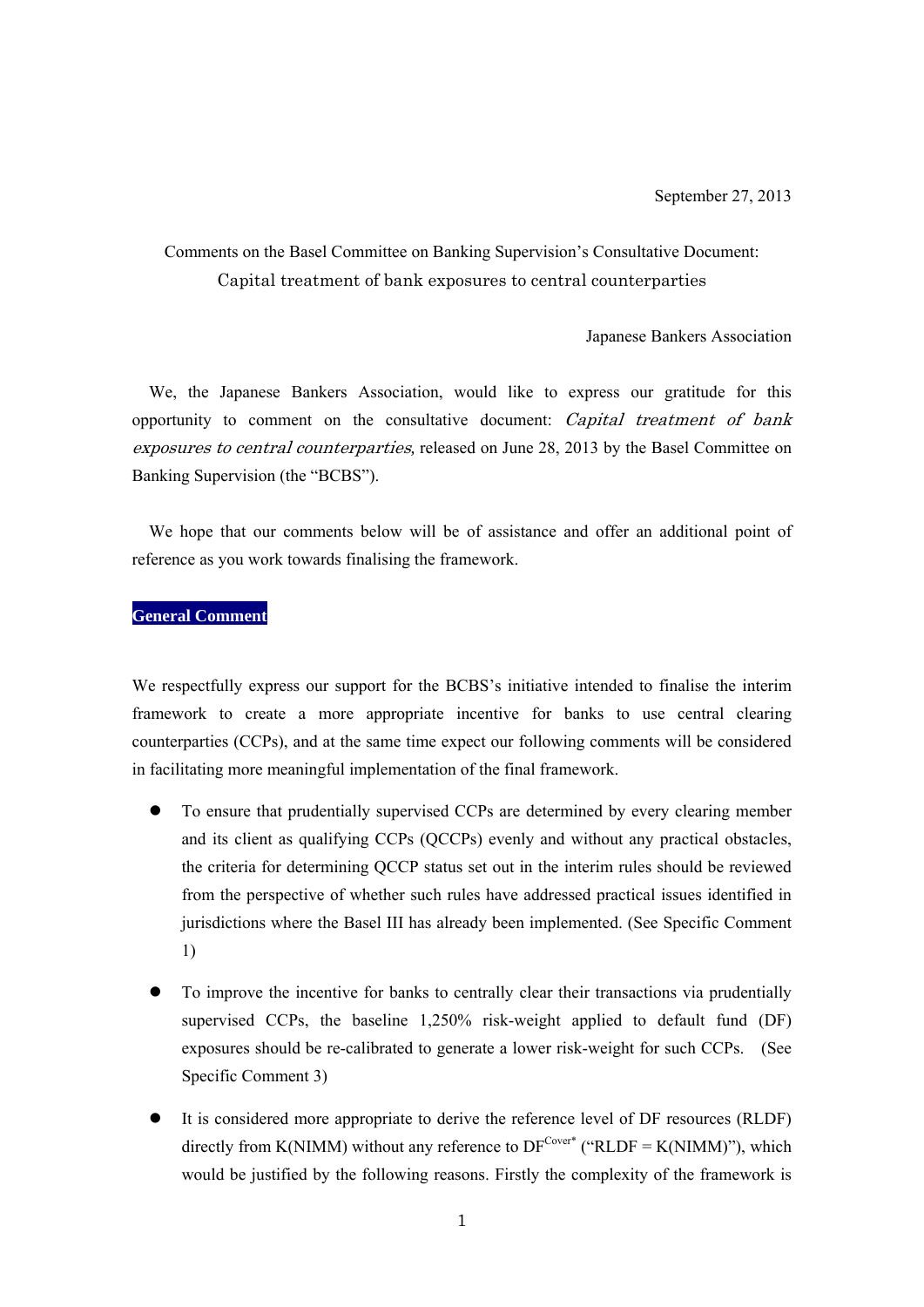# Comments on the Basel Committee on Banking Supervision's Consultative Document: Capital treatment of bank exposures to central counterparties

Japanese Bankers Association

We, the Japanese Bankers Association, would like to express our gratitude for this opportunity to comment on the consultative document: Capital treatment of bank exposures to central counterparties*,* released on June 28, 2013 by the Basel Committee on Banking Supervision (the "BCBS").

We hope that our comments below will be of assistance and offer an additional point of reference as you work towards finalising the framework.

# **General Comment**

We respectfully express our support for the BCBS's initiative intended to finalise the interim framework to create a more appropriate incentive for banks to use central clearing counterparties (CCPs), and at the same time expect our following comments will be considered in facilitating more meaningful implementation of the final framework.

- To ensure that prudentially supervised CCPs are determined by every clearing member and its client as qualifying CCPs (QCCPs) evenly and without any practical obstacles, the criteria for determining QCCP status set out in the interim rules should be reviewed from the perspective of whether such rules have addressed practical issues identified in jurisdictions where the Basel III has already been implemented. (See Specific Comment 1)
- To improve the incentive for banks to centrally clear their transactions via prudentially supervised CCPs, the baseline 1,250% risk-weight applied to default fund (DF) exposures should be re-calibrated to generate a lower risk-weight for such CCPs. (See Specific Comment 3)
- It is considered more appropriate to derive the reference level of DF resources (RLDF) directly from K(NIMM) without any reference to  $DF^{Cover*}$  ("RLDF = K(NIMM)"), which would be justified by the following reasons. Firstly the complexity of the framework is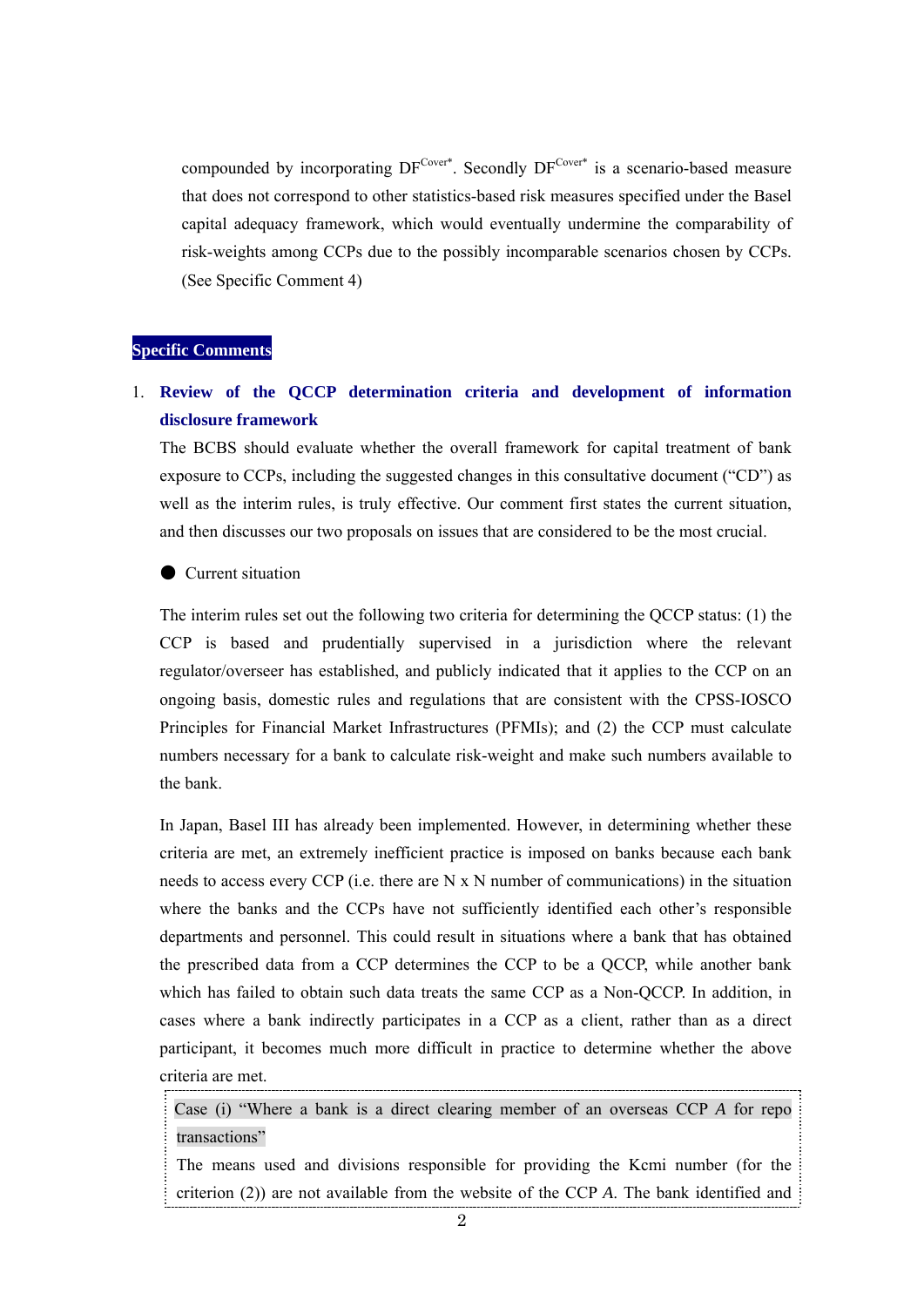compounded by incorporating  $DF^{\text{Cover}}$ . Secondly  $DF^{\text{Cover}}$  is a scenario-based measure that does not correspond to other statistics-based risk measures specified under the Basel capital adequacy framework, which would eventually undermine the comparability of risk-weights among CCPs due to the possibly incomparable scenarios chosen by CCPs. (See Specific Comment 4)

### **Specific Comments**

# 1. **Review of the QCCP determination criteria and development of information disclosure framework**

The BCBS should evaluate whether the overall framework for capital treatment of bank exposure to CCPs, including the suggested changes in this consultative document ("CD") as well as the interim rules, is truly effective. Our comment first states the current situation, and then discusses our two proposals on issues that are considered to be the most crucial.

#### ● Current situation

The interim rules set out the following two criteria for determining the QCCP status: (1) the CCP is based and prudentially supervised in a jurisdiction where the relevant regulator/overseer has established, and publicly indicated that it applies to the CCP on an ongoing basis, domestic rules and regulations that are consistent with the CPSS-IOSCO Principles for Financial Market Infrastructures (PFMIs); and (2) the CCP must calculate numbers necessary for a bank to calculate risk-weight and make such numbers available to the bank.

In Japan, Basel III has already been implemented. However, in determining whether these criteria are met, an extremely inefficient practice is imposed on banks because each bank needs to access every CCP (i.e. there are N x N number of communications) in the situation where the banks and the CCPs have not sufficiently identified each other's responsible departments and personnel. This could result in situations where a bank that has obtained the prescribed data from a CCP determines the CCP to be a QCCP, while another bank which has failed to obtain such data treats the same CCP as a Non-QCCP. In addition, in cases where a bank indirectly participates in a CCP as a client, rather than as a direct participant, it becomes much more difficult in practice to determine whether the above criteria are met.

Case (i) "Where a bank is a direct clearing member of an overseas CCP *A* for repo transactions"

The means used and divisions responsible for providing the Kcmi number (for the criterion (2)) are not available from the website of the CCP *A*. The bank identified and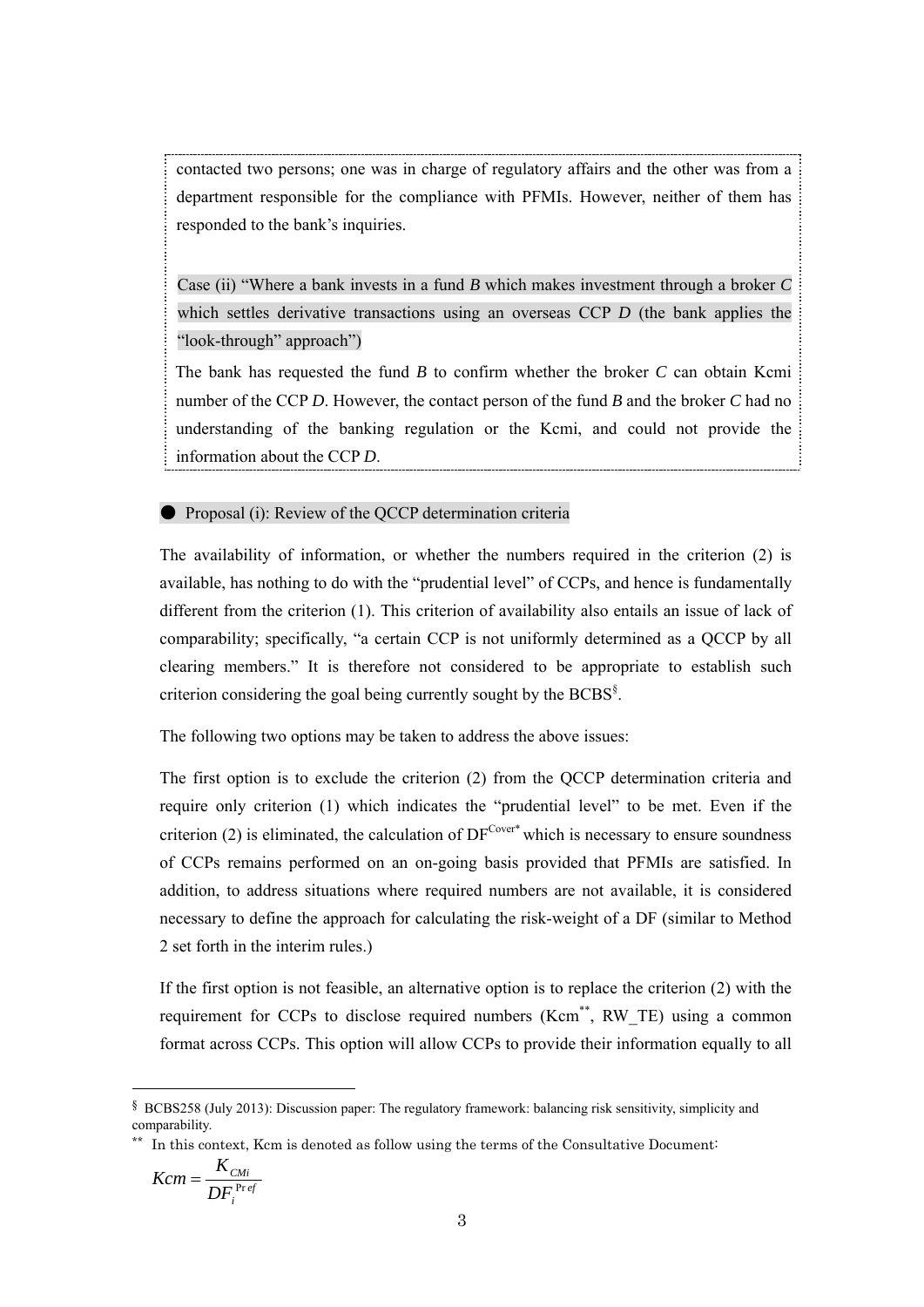contacted two persons; one was in charge of regulatory affairs and the other was from a department responsible for the compliance with PFMIs. However, neither of them has responded to the bank's inquiries.

Case (ii) "Where a bank invests in a fund *B* which makes investment through a broker *C* which settles derivative transactions using an overseas CCP *D* (the bank applies the "look-through" approach")

The bank has requested the fund *B* to confirm whether the broker *C* can obtain Kcmi number of the CCP *D*. However, the contact person of the fund *B* and the broker *C* had no understanding of the banking regulation or the Kcmi, and could not provide the information about the CCP *D*.

**• Proposal (i): Review of the QCCP determination criteria** 

The availability of information, or whether the numbers required in the criterion (2) is available, has nothing to do with the "prudential level" of CCPs, and hence is fundamentally different from the criterion (1). This criterion of availability also entails an issue of lack of comparability; specifically, "a certain CCP is not uniformly determined as a QCCP by all clearing members." It is therefore not considered to be appropriate to establish such criterion considering the goal being currently sought by the BCBS<sup>§</sup>.

The following two options may be taken to address the above issues:

The first option is to exclude the criterion (2) from the QCCP determination criteria and require only criterion (1) which indicates the "prudential level" to be met. Even if the criterion (2) is eliminated, the calculation of  $DF^{\text{Cover}*}$  which is necessary to ensure soundness of CCPs remains performed on an on-going basis provided that PFMIs are satisfied. In addition, to address situations where required numbers are not available, it is considered necessary to define the approach for calculating the risk-weight of a DF (similar to Method 2 set forth in the interim rules.)

If the first option is not feasible, an alternative option is to replace the criterion (2) with the requirement for CCPs to disclose required numbers (Kcm<sup>\*\*</sup>, RW TE) using a common format across CCPs. This option will allow CCPs to provide their information equally to all

$$
Kcm = \frac{K_{CMi}}{DF_i^{Pref}}
$$

 $\overline{a}$ 

<sup>§</sup> BCBS258 (July 2013): Discussion paper: The regulatory framework: balancing risk sensitivity, simplicity and comparability.

<sup>\*\*</sup> In this context, Kcm is denoted as follow using the terms of the Consultative Document: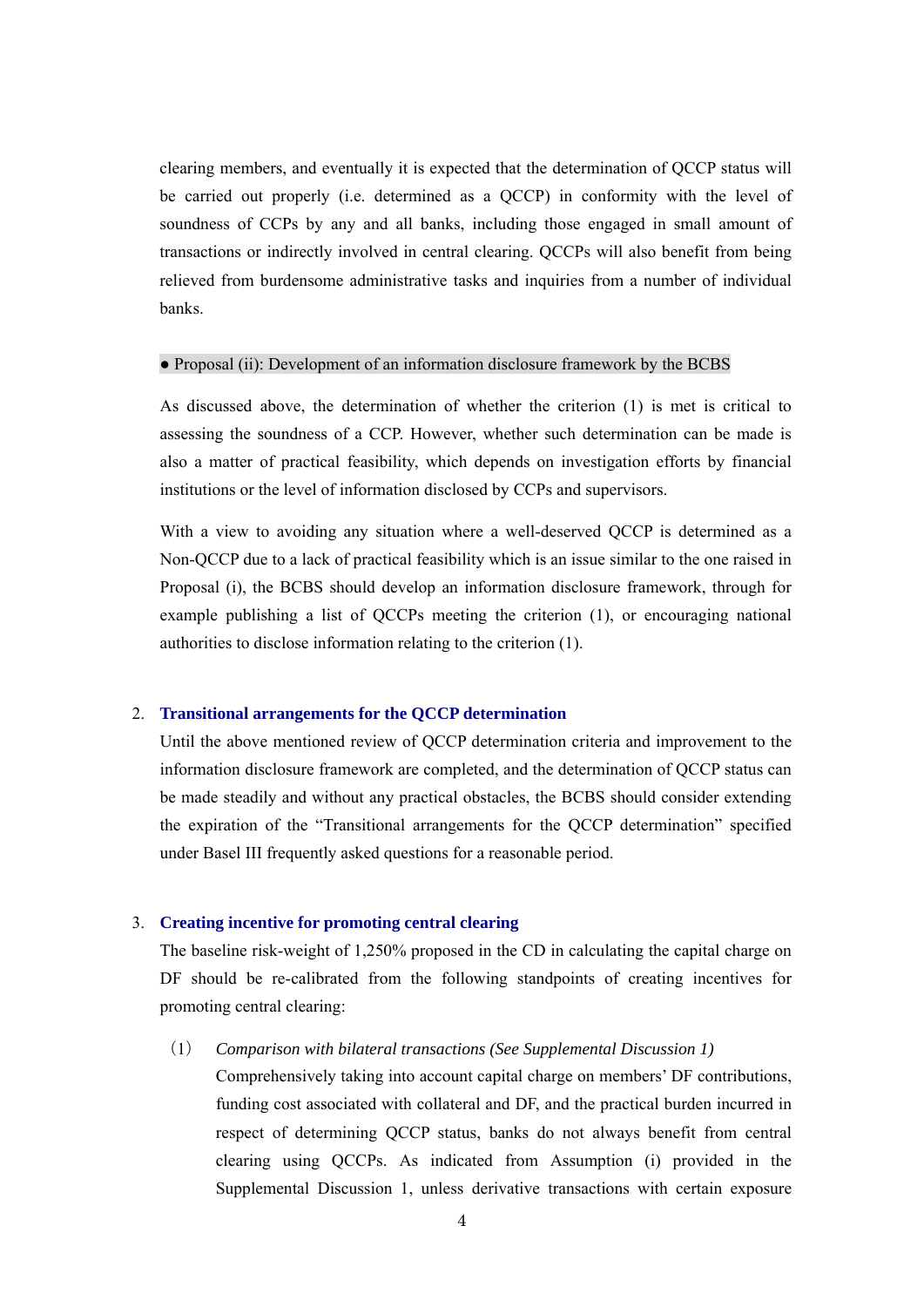clearing members, and eventually it is expected that the determination of QCCP status will be carried out properly (i.e. determined as a QCCP) in conformity with the level of soundness of CCPs by any and all banks, including those engaged in small amount of transactions or indirectly involved in central clearing. QCCPs will also benefit from being relieved from burdensome administrative tasks and inquiries from a number of individual banks.

### ● Proposal (ii): Development of an information disclosure framework by the BCBS

As discussed above, the determination of whether the criterion (1) is met is critical to assessing the soundness of a CCP. However, whether such determination can be made is also a matter of practical feasibility, which depends on investigation efforts by financial institutions or the level of information disclosed by CCPs and supervisors.

With a view to avoiding any situation where a well-deserved QCCP is determined as a Non-QCCP due to a lack of practical feasibility which is an issue similar to the one raised in Proposal (i), the BCBS should develop an information disclosure framework, through for example publishing a list of QCCPs meeting the criterion (1), or encouraging national authorities to disclose information relating to the criterion (1).

#### 2. **Transitional arrangements for the QCCP determination**

Until the above mentioned review of QCCP determination criteria and improvement to the information disclosure framework are completed, and the determination of QCCP status can be made steadily and without any practical obstacles, the BCBS should consider extending the expiration of the "Transitional arrangements for the QCCP determination" specified under Basel III frequently asked questions for a reasonable period.

#### 3. **Creating incentive for promoting central clearing**

The baseline risk-weight of 1,250% proposed in the CD in calculating the capital charge on DF should be re-calibrated from the following standpoints of creating incentives for promoting central clearing:

# (1) *Comparison with bilateral transactions (See Supplemental Discussion 1)*

Comprehensively taking into account capital charge on members' DF contributions, funding cost associated with collateral and DF, and the practical burden incurred in respect of determining QCCP status, banks do not always benefit from central clearing using QCCPs. As indicated from Assumption (i) provided in the Supplemental Discussion 1, unless derivative transactions with certain exposure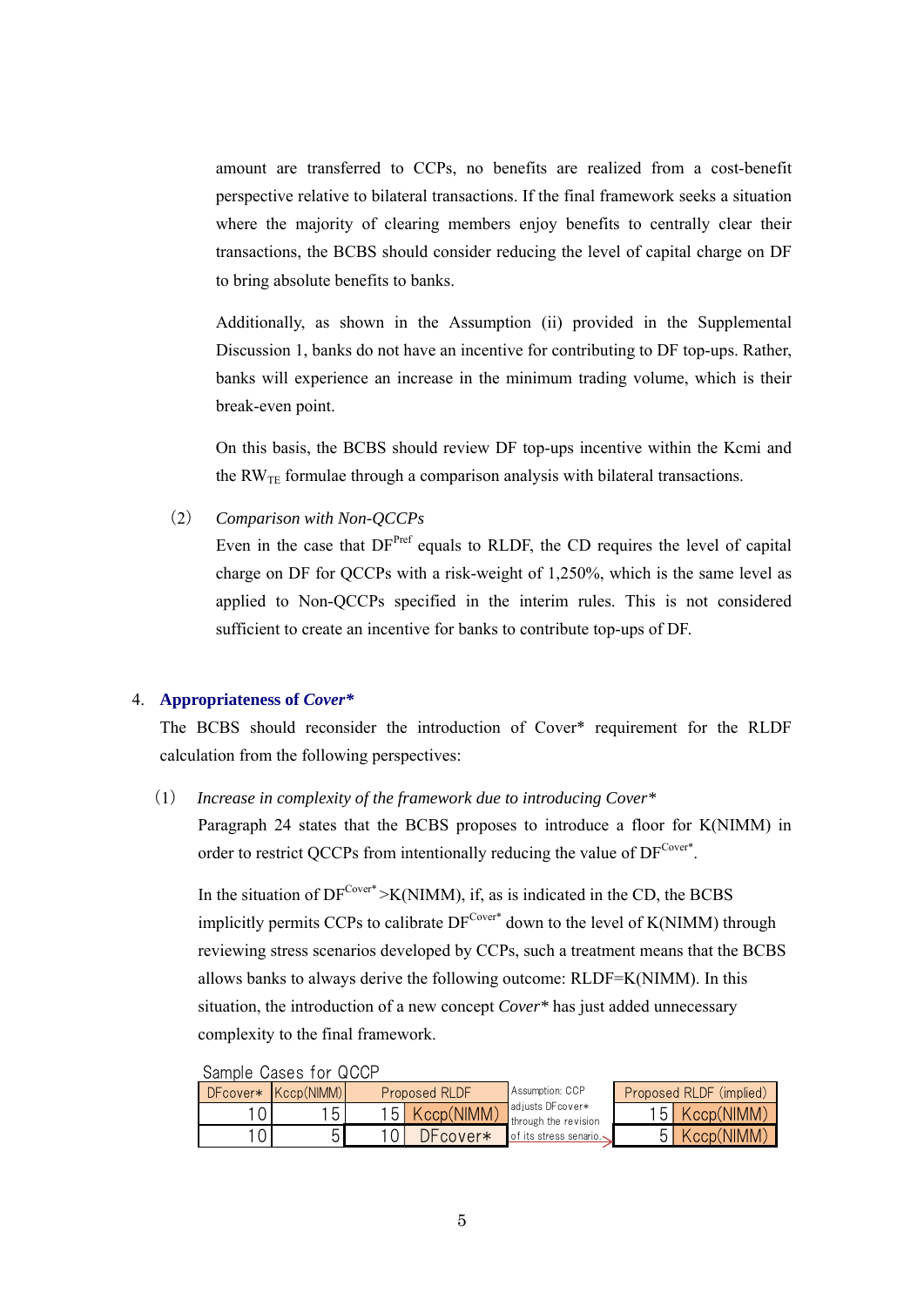amount are transferred to CCPs, no benefits are realized from a cost-benefit perspective relative to bilateral transactions. If the final framework seeks a situation where the majority of clearing members enjoy benefits to centrally clear their transactions, the BCBS should consider reducing the level of capital charge on DF to bring absolute benefits to banks.

Additionally, as shown in the Assumption (ii) provided in the Supplemental Discussion 1, banks do not have an incentive for contributing to DF top-ups. Rather, banks will experience an increase in the minimum trading volume, which is their break-even point.

On this basis, the BCBS should review DF top-ups incentive within the Kcmi and the  $RW_{TE}$  formulae through a comparison analysis with bilateral transactions.

(2) *Comparison with Non-QCCPs* 

Even in the case that DF<sup>Pref</sup> equals to RLDF, the CD requires the level of capital charge on DF for QCCPs with a risk-weight of 1,250%, which is the same level as applied to Non-QCCPs specified in the interim rules. This is not considered sufficient to create an incentive for banks to contribute top-ups of DF.

#### 4. **Appropriateness of** *Cover\**

The BCBS should reconsider the introduction of Cover\* requirement for the RLDF calculation from the following perspectives:

(1) *Increase in complexity of the framework due to introducing Cover\**

Paragraph 24 states that the BCBS proposes to introduce a floor for K(NIMM) in order to restrict QCCPs from intentionally reducing the value of  $DF^{\text{Cover*}}$ .

In the situation of  $DF^{\text{Cover}*} > K(NIMM)$ , if, as is indicated in the CD, the BCBS implicitly permits CCPs to calibrate  $DF^{\text{Cover}*}$  down to the level of K(NIMM) through reviewing stress scenarios developed by CCPs, such a treatment means that the BCBS allows banks to always derive the following outcome: RLDF=K(NIMM). In this situation, the introduction of a new concept *Cover\** has just added unnecessary complexity to the final framework.

| <u>Uditible</u> Udses für WUUI |                     |               |            |                                           |                         |            |  |  |
|--------------------------------|---------------------|---------------|------------|-------------------------------------------|-------------------------|------------|--|--|
|                                | DFcover* Kccp(NIMM) | Proposed RLDF |            | Assumption: CCP                           | Proposed RLDF (implied) |            |  |  |
|                                | 151                 | 151           | Kccp(NIMM) | adjusts DF cover*<br>through the revision | 15 <sub>h</sub>         | Kccp(NIMM) |  |  |
|                                |                     |               | DFcover*   | of its stress senario. $\sqrt{ }$         |                         | Kccp(NIMM) |  |  |

Sample Cases for QCCP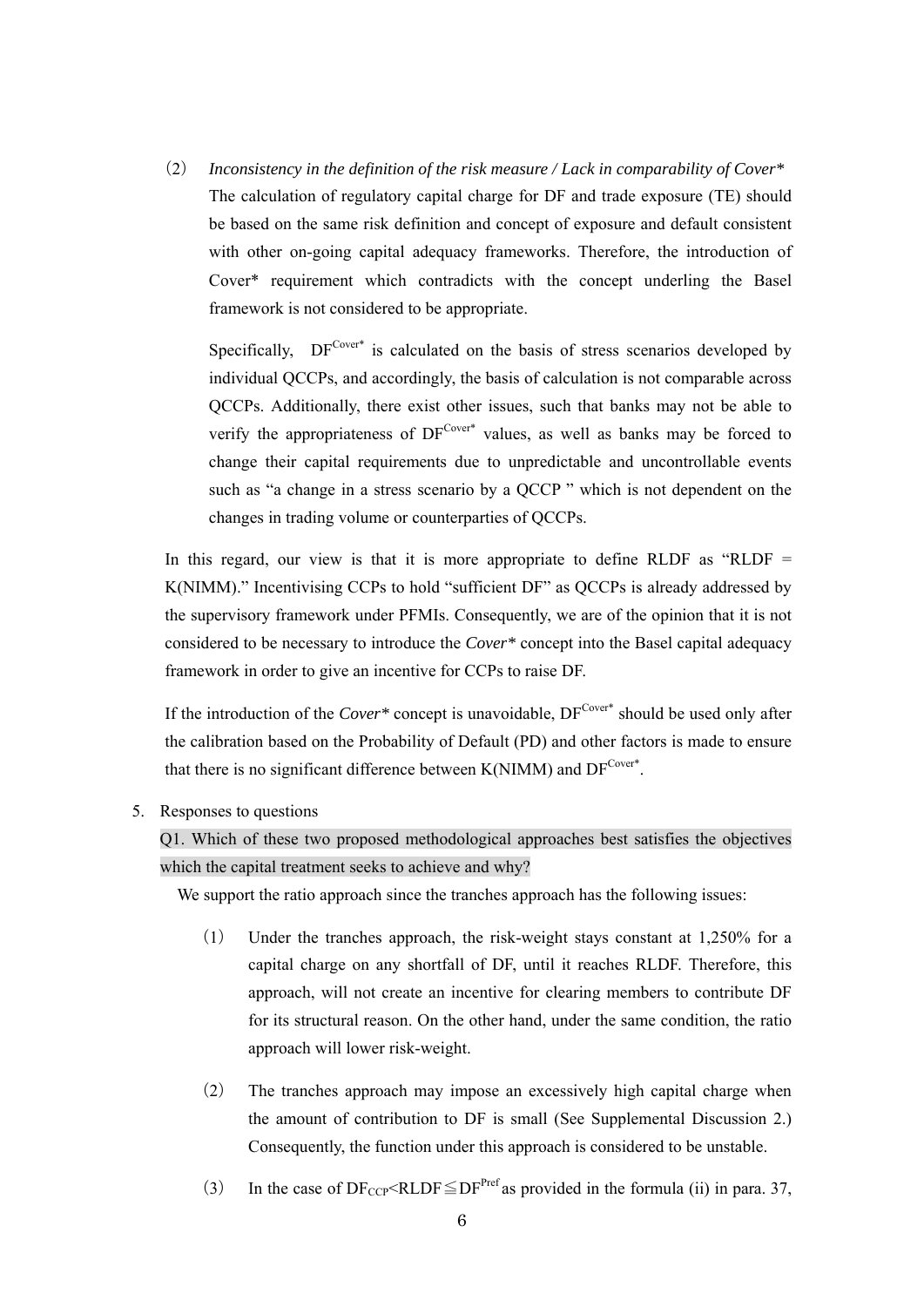(2) *Inconsistency in the definition of the risk measure / Lack in comparability of Cover\**  The calculation of regulatory capital charge for DF and trade exposure (TE) should be based on the same risk definition and concept of exposure and default consistent with other on-going capital adequacy frameworks. Therefore, the introduction of Cover\* requirement which contradicts with the concept underling the Basel framework is not considered to be appropriate.

Specifically,  $DF^{Cover^*}$  is calculated on the basis of stress scenarios developed by individual QCCPs, and accordingly, the basis of calculation is not comparable across QCCPs. Additionally, there exist other issues, such that banks may not be able to verify the appropriateness of  $DF^{Cover*}$  values, as well as banks may be forced to change their capital requirements due to unpredictable and uncontrollable events such as "a change in a stress scenario by a QCCP " which is not dependent on the changes in trading volume or counterparties of QCCPs.

In this regard, our view is that it is more appropriate to define RLDF as "RLDF  $=$ K(NIMM)." Incentivising CCPs to hold "sufficient DF" as QCCPs is already addressed by the supervisory framework under PFMIs. Consequently, we are of the opinion that it is not considered to be necessary to introduce the *Cover\** concept into the Basel capital adequacy framework in order to give an incentive for CCPs to raise DF.

If the introduction of the *Cover*\* concept is unavoidable,  $DF^{\text{Cover}}$  should be used only after the calibration based on the Probability of Default (PD) and other factors is made to ensure that there is no significant difference between K(NIMM) and  $DF^{Cover^*}$ .

5. Responses to questions

Q1. Which of these two proposed methodological approaches best satisfies the objectives which the capital treatment seeks to achieve and why?

We support the ratio approach since the tranches approach has the following issues:

- (1) Under the tranches approach, the risk-weight stays constant at 1,250% for a capital charge on any shortfall of DF, until it reaches RLDF. Therefore, this approach, will not create an incentive for clearing members to contribute DF for its structural reason. On the other hand, under the same condition, the ratio approach will lower risk-weight.
- (2) The tranches approach may impose an excessively high capital charge when the amount of contribution to DF is small (See Supplemental Discussion 2.) Consequently, the function under this approach is considered to be unstable.
- (3) In the case of  $DF_{CCP} \leq RLDF \leq DF^{Pref}$  as provided in the formula (ii) in para. 37,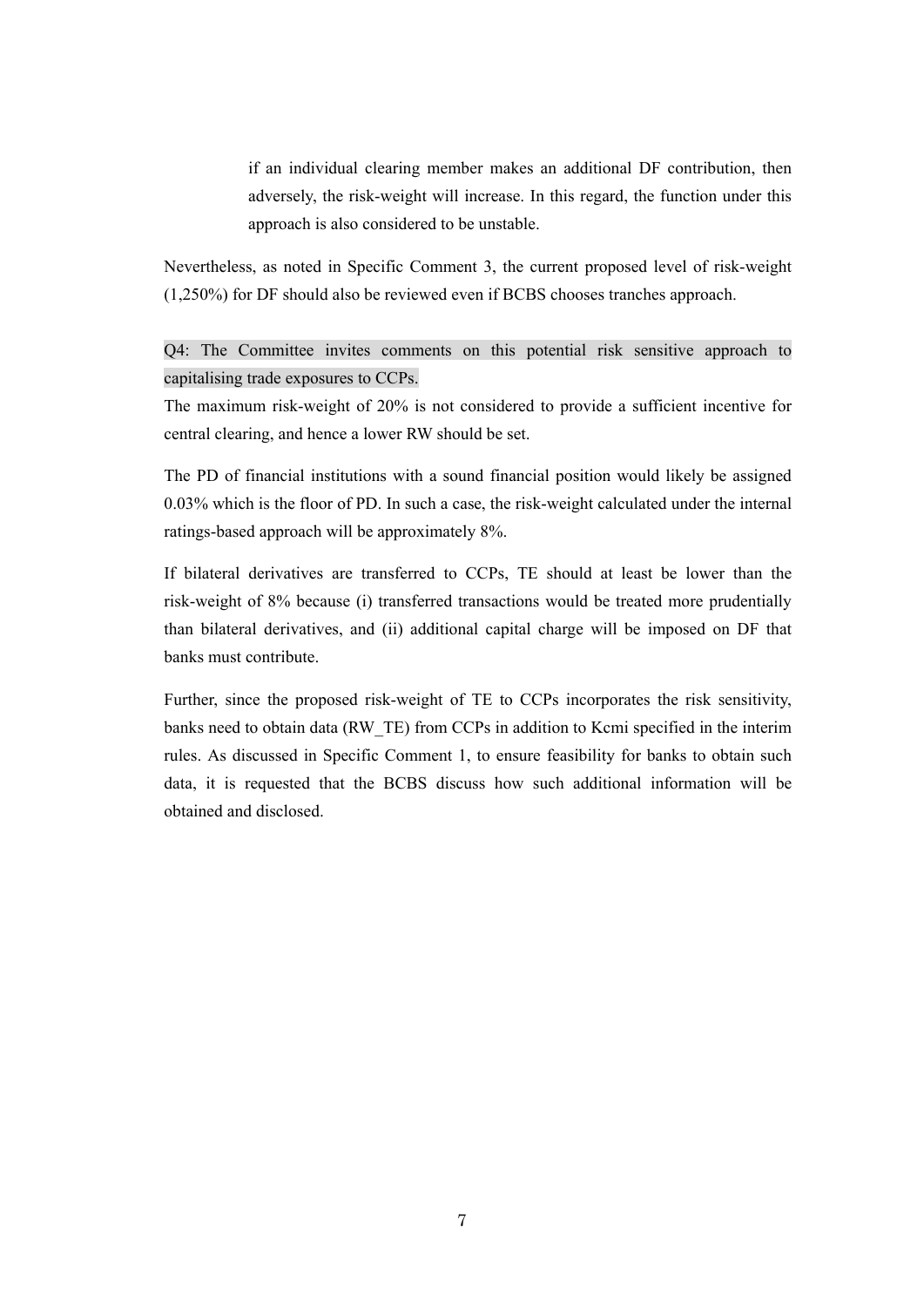if an individual clearing member makes an additional DF contribution, then adversely, the risk-weight will increase. In this regard, the function under this approach is also considered to be unstable.

Nevertheless, as noted in Specific Comment 3, the current proposed level of risk-weight (1,250%) for DF should also be reviewed even if BCBS chooses tranches approach.

Q4: The Committee invites comments on this potential risk sensitive approach to capitalising trade exposures to CCPs.

The maximum risk-weight of 20% is not considered to provide a sufficient incentive for central clearing, and hence a lower RW should be set.

The PD of financial institutions with a sound financial position would likely be assigned 0.03% which is the floor of PD. In such a case, the risk-weight calculated under the internal ratings-based approach will be approximately 8%.

If bilateral derivatives are transferred to CCPs, TE should at least be lower than the risk-weight of 8% because (i) transferred transactions would be treated more prudentially than bilateral derivatives, and (ii) additional capital charge will be imposed on DF that banks must contribute.

Further, since the proposed risk-weight of TE to CCPs incorporates the risk sensitivity, banks need to obtain data (RW\_TE) from CCPs in addition to Kcmi specified in the interim rules. As discussed in Specific Comment 1, to ensure feasibility for banks to obtain such data, it is requested that the BCBS discuss how such additional information will be obtained and disclosed.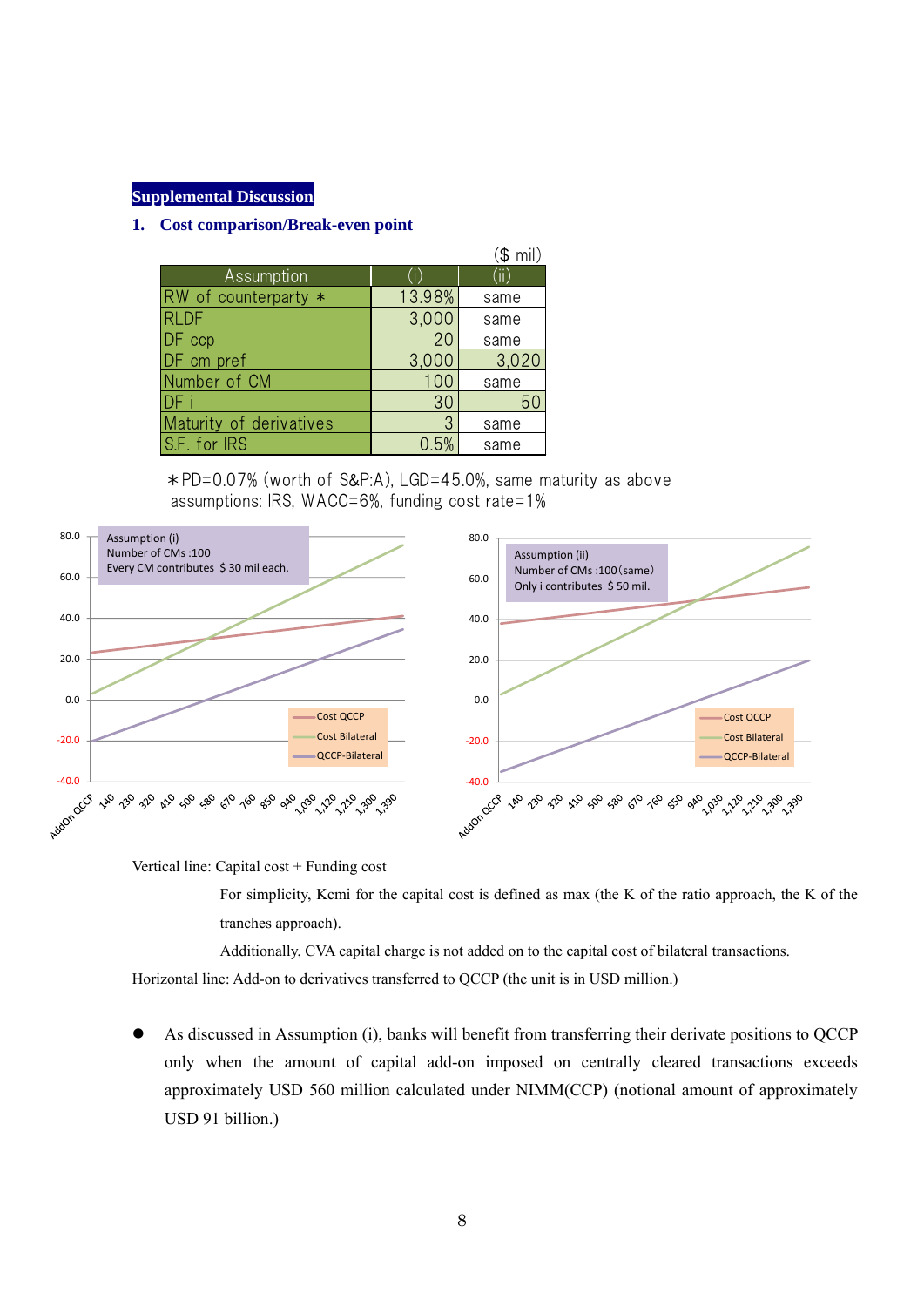# **Supplemental Discussion**

# **1. Cost comparison/Break-even point**

|                         |        | (\$ mil) |
|-------------------------|--------|----------|
| Assumption              |        | (iii)    |
| RW of counterparty *    | 13.98% | same     |
| <b>RLDF</b>             | 3,000  | same     |
| ccp                     | 20     | same     |
| DF cm pref              | 3,000  | 3,020    |
| Number of CM            | 100    | same     |
|                         | 30     | 50       |
| Maturity of derivatives | 3      | same     |
| S.F. for IRS            | 0.5%   | same     |

\*PD=0.07% (worth of S&P:A), LGD=45.0%, same maturity as above assumptions: IRS, WACC=6%, funding cost rate=1%



Vertical line: Capital cost + Funding cost

For simplicity, Kcmi for the capital cost is defined as max (the K of the ratio approach, the K of the tranches approach).

Additionally, CVA capital charge is not added on to the capital cost of bilateral transactions.

Horizontal line: Add-on to derivatives transferred to QCCP (the unit is in USD million.)

 As discussed in Assumption (i), banks will benefit from transferring their derivate positions to QCCP only when the amount of capital add-on imposed on centrally cleared transactions exceeds approximately USD 560 million calculated under NIMM(CCP) (notional amount of approximately USD 91 billion.)